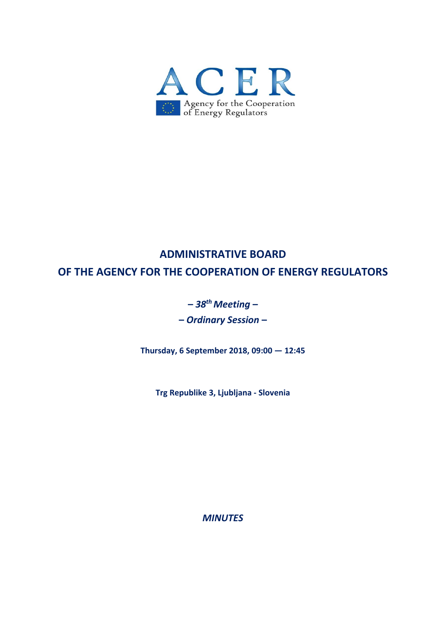

# **ADMINISTRATIVE BOARD OF THE AGENCY FOR THE COOPERATION OF ENERGY REGULATORS**

## **–** *38thMeeting* **–**

**–** *Ordinary Session* **–**

**Thursday, 6 September 2018, 09:00 — 12:45**

**Trg Republike 3, Ljubljana ‐ Slovenia**

*MINUTES*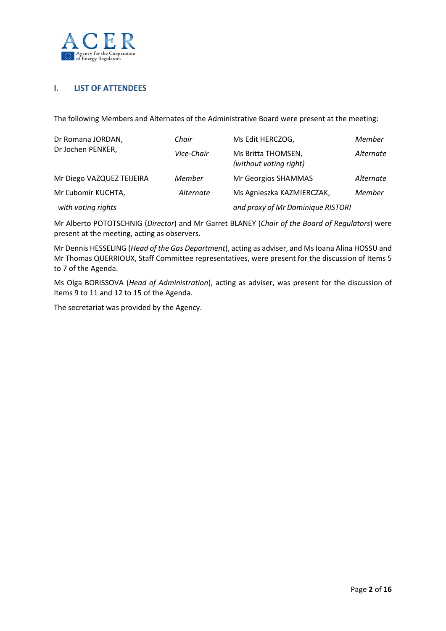

## **I. LIST OF ATTENDEES**

The following Members and Alternates of the Administrative Board were present at the meeting:

| Dr Romana JORDAN,<br>Dr Jochen PENKER, | Chair      | Ms Edit HERCZOG,                             | Member    |  |
|----------------------------------------|------------|----------------------------------------------|-----------|--|
|                                        | Vice-Chair | Ms Britta THOMSEN,<br>(without voting right) | Alternate |  |
| Mr Diego VAZQUEZ TEIJEIRA              | Member     | Mr Georgios SHAMMAS                          | Alternate |  |
| Mr Ľubomír KUCHTA,                     | Alternate  | Ms Agnieszka KAZMIERCZAK,                    | Member    |  |
| with voting rights                     |            | and proxy of Mr Dominique RISTORI            |           |  |

Mr Alberto POTOTSCHNIG (*Director*) and Mr Garret BLANEY (*Chair of the Board of Regulators*) were present at the meeting, acting as observers.

Mr Dennis HESSELING (*Head of the Gas Department*), acting as adviser, and MsIoana Alina HOSSU and Mr Thomas QUERRIOUX, Staff Committee representatives, were present for the discussion of Items 5 to 7 of the Agenda.

Ms Olga BORISSOVA (*Head of Administration*), acting as adviser, was present for the discussion of Items 9 to 11 and 12 to 15 of the Agenda.

The secretariat was provided by the Agency.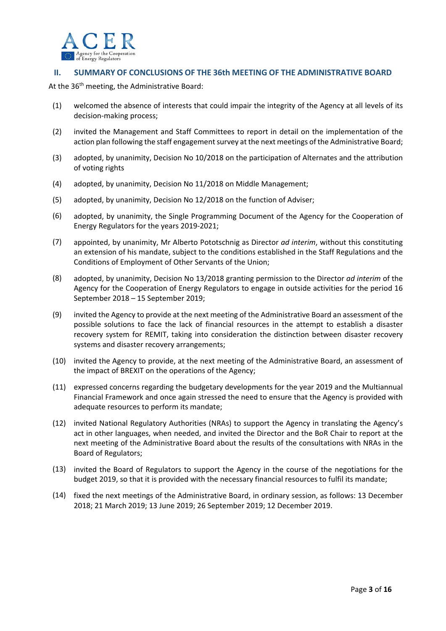

### **II. SUMMARY OF CONCLUSIONS OF THE 36th MEETING OF THE ADMINISTRATIVE BOARD**

At the 36<sup>th</sup> meeting, the Administrative Board:

- (1) welcomed the absence of interests that could impair the integrity of the Agency at all levels of its decision‐making process;
- (2) invited the Management and Staff Committees to report in detail on the implementation of the action plan following the staff engagement survey at the next meetings of the Administrative Board;
- (3) adopted, by unanimity, Decision No 10/2018 on the participation of Alternates and the attribution of voting rights
- (4) adopted, by unanimity, Decision No 11/2018 on Middle Management;
- (5) adopted, by unanimity, Decision No 12/2018 on the function of Adviser;
- (6) adopted, by unanimity, the Single Programming Document of the Agency for the Cooperation of Energy Regulators for the years 2019‐2021;
- (7) appointed, by unanimity, Mr Alberto Pototschnig as Director *ad interim*, without this constituting an extension of his mandate, subject to the conditions established in the Staff Regulations and the Conditions of Employment of Other Servants of the Union;
- (8) adopted, by unanimity, Decision No 13/2018 granting permission to the Director *ad interim* of the Agency for the Cooperation of Energy Regulators to engage in outside activities for the period 16 September 2018 – 15 September 2019;
- (9) invited the Agency to provide at the next meeting of the Administrative Board an assessment of the possible solutions to face the lack of financial resources in the attempt to establish a disaster recovery system for REMIT, taking into consideration the distinction between disaster recovery systems and disaster recovery arrangements;
- (10) invited the Agency to provide, at the next meeting of the Administrative Board, an assessment of the impact of BREXIT on the operations of the Agency;
- (11) expressed concerns regarding the budgetary developments for the year 2019 and the Multiannual Financial Framework and once again stressed the need to ensure that the Agency is provided with adequate resources to perform its mandate;
- (12) invited National Regulatory Authorities (NRAs) to support the Agency in translating the Agency's act in other languages, when needed, and invited the Director and the BoR Chair to report at the next meeting of the Administrative Board about the results of the consultations with NRAs in the Board of Regulators;
- (13) invited the Board of Regulators to support the Agency in the course of the negotiations for the budget 2019, so that it is provided with the necessary financial resources to fulfil its mandate;
- (14) fixed the next meetings of the Administrative Board, in ordinary session, as follows: 13 December 2018; 21 March 2019; 13 June 2019; 26 September 2019; 12 December 2019.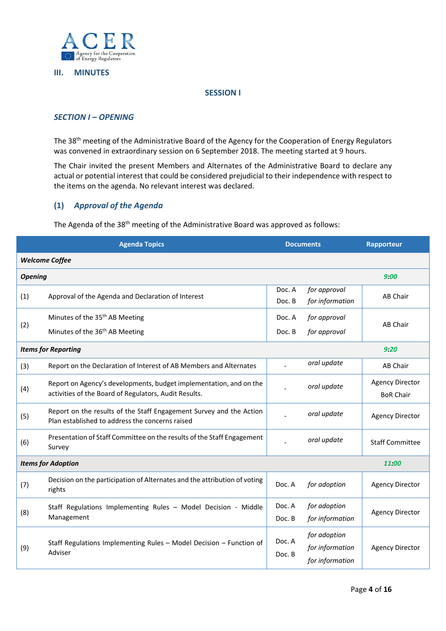

#### **III. MINUTES**

#### **SESSION I**

## *SECTION I – OPENING*

The 38th meeting of the Administrative Board of the Agency for the Cooperation of Energy Regulators was convened in extraordinary session on 6 September 2018. The meeting started at 9 hours.

The Chair invited the present Members and Alternates of the Administrative Board to declare any actual or potential interest that could be considered prejudicial to their independence with respect to the items on the agenda. No relevant interest was declared.

### **(1)** *Approval of the Agenda*

The Agenda of the 38<sup>th</sup> meeting of the Administrative Board was approved as follows:

| <b>Agenda Topics</b>               |                                                                                                                             | <b>Documents</b> |                                                    | Rapporteur                                 |  |  |
|------------------------------------|-----------------------------------------------------------------------------------------------------------------------------|------------------|----------------------------------------------------|--------------------------------------------|--|--|
| <b>Welcome Coffee</b>              |                                                                                                                             |                  |                                                    |                                            |  |  |
| <b>Opening</b>                     |                                                                                                                             |                  |                                                    | 9:00                                       |  |  |
| (1)                                | Approval of the Agenda and Declaration of Interest                                                                          | Doc. A<br>Doc. B | for approval<br>for information                    | <b>AB Chair</b>                            |  |  |
|                                    | Minutes of the 35 <sup>th</sup> AB Meeting                                                                                  | Doc. A           | for approval                                       | <b>AB Chair</b>                            |  |  |
| (2)                                | Minutes of the 36 <sup>th</sup> AB Meeting                                                                                  | Doc. B           | for approval                                       |                                            |  |  |
| <b>Items for Reporting</b><br>9:20 |                                                                                                                             |                  |                                                    |                                            |  |  |
| (3)                                | Report on the Declaration of Interest of AB Members and Alternates                                                          |                  | oral update                                        | AB Chair                                   |  |  |
| (4)                                | Report on Agency's developments, budget implementation, and on the<br>activities of the Board of Regulators, Audit Results. |                  | oral update                                        | <b>Agency Director</b><br><b>BoR Chair</b> |  |  |
| (5)                                | Report on the results of the Staff Engagement Survey and the Action<br>Plan established to address the concerns raised      |                  | oral update                                        | <b>Agency Director</b>                     |  |  |
| (6)                                | Presentation of Staff Committee on the results of the Staff Engagement<br>Survey                                            |                  | oral update                                        | <b>Staff Committee</b>                     |  |  |
| <b>Items for Adoption</b><br>11:00 |                                                                                                                             |                  |                                                    |                                            |  |  |
| (7)                                | Decision on the participation of Alternates and the attribution of voting<br>rights                                         | Doc. A           | for adoption                                       | <b>Agency Director</b>                     |  |  |
| (8)                                | Staff Regulations Implementing Rules - Model Decision - Middle<br>Management                                                | Doc. A           | for adoption                                       | <b>Agency Director</b>                     |  |  |
|                                    |                                                                                                                             | Doc. B           | for information                                    |                                            |  |  |
| (9)                                | Staff Regulations Implementing Rules - Model Decision - Function of<br>Adviser                                              | Doc. A<br>Doc. B | for adoption<br>for information<br>for information | <b>Agency Director</b>                     |  |  |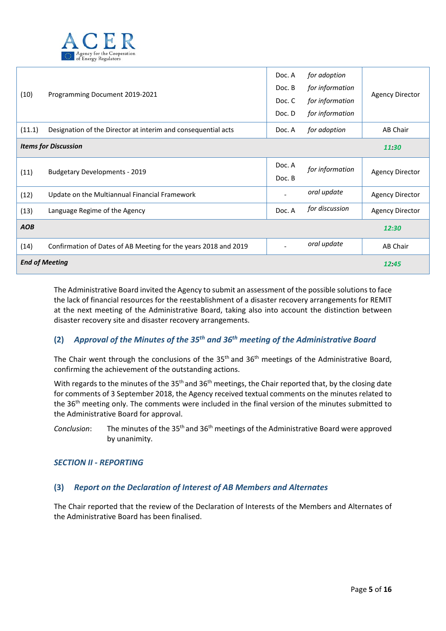

| (10)                        | Programming Document 2019-2021                                  | Doc. A<br>Doc. B<br>Doc. C<br>Doc. D | for adoption<br>for information<br>for information<br>for information | <b>Agency Director</b> |
|-----------------------------|-----------------------------------------------------------------|--------------------------------------|-----------------------------------------------------------------------|------------------------|
| (11.1)                      | Designation of the Director at interim and consequential acts   | Doc. A                               | for adoption                                                          | AB Chair               |
| <b>Items for Discussion</b> |                                                                 |                                      |                                                                       |                        |
| (11)                        | <b>Budgetary Developments - 2019</b>                            | Doc. A<br>Doc. B                     | for information                                                       | <b>Agency Director</b> |
| (12)                        | Update on the Multiannual Financial Framework                   |                                      | oral update                                                           | <b>Agency Director</b> |
| (13)                        | Language Regime of the Agency                                   |                                      | for discussion                                                        | <b>Agency Director</b> |
| <b>AOB</b>                  |                                                                 |                                      |                                                                       | 12:30                  |
| (14)                        | Confirmation of Dates of AB Meeting for the years 2018 and 2019 |                                      | oral update                                                           | AB Chair               |
| <b>End of Meeting</b>       |                                                                 |                                      |                                                                       | 12:45                  |

The Administrative Board invited the Agency to submit an assessment of the possible solutions to face the lack of financial resources for the reestablishment of a disaster recovery arrangements for REMIT at the next meeting of the Administrative Board, taking also into account the distinction between disaster recovery site and disaster recovery arrangements.

## **(2)** *Approval of the Minutes of the 35th and 36th meeting of the Administrative Board*

The Chair went through the conclusions of the 35<sup>th</sup> and 36<sup>th</sup> meetings of the Administrative Board, confirming the achievement of the outstanding actions.

With regards to the minutes of the 35<sup>th</sup> and 36<sup>th</sup> meetings, the Chair reported that, by the closing date for comments of 3 September 2018, the Agency received textual comments on the minutes related to the 36th meeting only. The comments were included in the final version of the minutes submitted to the Administrative Board for approval.

*Conclusion*: The minutes of the 35th and 36th meetings of the Administrative Board were approved by unanimity.

#### *SECTION II ‐ REPORTING*

#### **(3)** *Report on the Declaration of Interest of AB Members and Alternates*

The Chair reported that the review of the Declaration of Interests of the Members and Alternates of the Administrative Board has been finalised.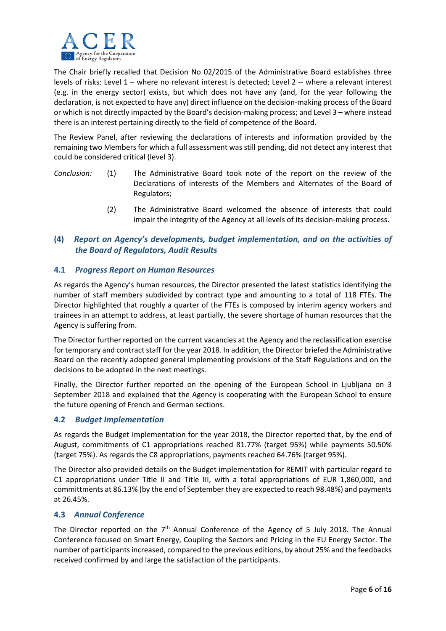

The Chair briefly recalled that Decision No 02/2015 of the Administrative Board establishes three levels of risks: Level 1 – where no relevant interest is detected; Level 2 -- where a relevant interest (e.g. in the energy sector) exists, but which does not have any (and, for the year following the declaration, is not expected to have any) direct influence on the decision‐making process of the Board or which is not directly impacted by the Board's decision‐making process; and Level 3 – where instead there is an interest pertaining directly to the field of competence of the Board.

The Review Panel, after reviewing the declarations of interests and information provided by the remaining two Members for which a full assessment was still pending, did not detect any interest that could be considered critical (level 3).

- *Conclusion:* (1) The Administrative Board took note of the report on the review of the Declarations of interests of the Members and Alternates of the Board of Regulators;
	- (2) The Administrative Board welcomed the absence of interests that could impair the integrity of the Agency at all levels of its decision-making process.

## **(4)** *Report on Agency's developments, budget implementation, and on the activities of the Board of Regulators, Audit Results*

## **4.1** *Progress Report on Human Resources*

As regards the Agency's human resources, the Director presented the latest statistics identifying the number of staff members subdivided by contract type and amounting to a total of 118 FTEs. The Director highlighted that roughly a quarter of the FTEs is composed by interim agency workers and trainees in an attempt to address, at least partially, the severe shortage of human resources that the Agency is suffering from.

The Director further reported on the current vacancies at the Agency and the reclassification exercise for temporary and contract staff for the year 2018. In addition, the Director briefed the Administrative Board on the recently adopted general implementing provisions of the Staff Regulations and on the decisions to be adopted in the next meetings.

Finally, the Director further reported on the opening of the European School in Ljubljana on 3 September 2018 and explained that the Agency is cooperating with the European School to ensure the future opening of French and German sections.

#### **4.2** *Budget Implementation*

As regards the Budget Implementation for the year 2018, the Director reported that, by the end of August, commitments of C1 appropriations reached 81.77% (target 95%) while payments 50.50% (target 75%). As regards the C8 appropriations, payments reached 64.76% (target 95%).

The Director also provided details on the Budget implementation for REMIT with particular regard to C1 appropriations under Title II and Title III, with a total appropriations of EUR 1,860,000, and committments at 86.13% (by the end of September they are expected to reach 98.48%) and payments at 26.45%.

#### **4.3** *Annual Conference*

The Director reported on the  $7<sup>th</sup>$  Annual Conference of the Agency of 5 July 2018. The Annual Conference focused on Smart Energy, Coupling the Sectors and Pricing in the EU Energy Sector. The number of participantsincreased, compared to the previous editions, by about 25% and the feedbacks received confirmed by and large the satisfaction of the participants.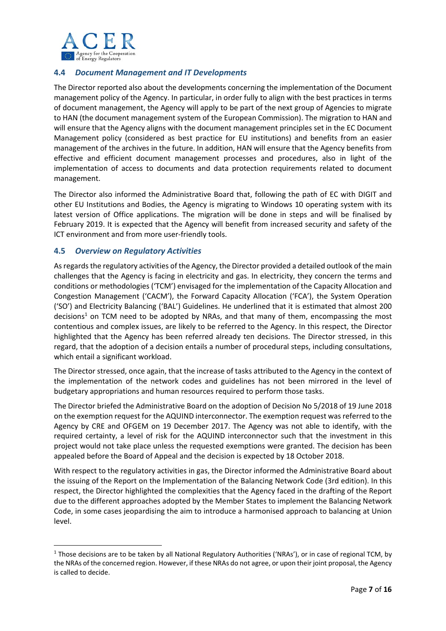

## **4.4** *Document Management and IT Developments*

The Director reported also about the developments concerning the implementation of the Document management policy of the Agency. In particular, in order fully to align with the best practices in terms of document management, the Agency will apply to be part of the next group of Agencies to migrate to HAN (the document management system of the European Commission). The migration to HAN and will ensure that the Agency aligns with the document management principles set in the EC Document Management policy (considered as best practice for EU institutions) and benefits from an easier management of the archives in the future. In addition, HAN will ensure that the Agency benefits from effective and efficient document management processes and procedures, also in light of the implementation of access to documents and data protection requirements related to document management.

The Director also informed the Administrative Board that, following the path of EC with DIGIT and other EU Institutions and Bodies, the Agency is migrating to Windows 10 operating system with its latest version of Office applications. The migration will be done in steps and will be finalised by February 2019. It is expected that the Agency will benefit from increased security and safety of the ICT environment and from more user-friendly tools.

## **4.5** *Overview on Regulatory Activities*

As regards the regulatory activities of the Agency, the Director provided a detailed outlook of the main challenges that the Agency is facing in electricity and gas. In electricity, they concern the terms and conditions or methodologies ('TCM') envisaged for the implementation of the Capacity Allocation and Congestion Management ('CACM'), the Forward Capacity Allocation ('FCA'), the System Operation ('SO') and Electricity Balancing ('BAL') Guidelines. He underlined that it is estimated that almost 200 decisions<sup>1</sup> on TCM need to be adopted by NRAs, and that many of them, encompassing the most contentious and complex issues, are likely to be referred to the Agency. In this respect, the Director highlighted that the Agency has been referred already ten decisions. The Director stressed, in this regard, that the adoption of a decision entails a number of procedural steps, including consultations, which entail a significant workload.

The Director stressed, once again, that the increase of tasks attributed to the Agency in the context of the implementation of the network codes and guidelines has not been mirrored in the level of budgetary appropriations and human resources required to perform those tasks.

The Director briefed the Administrative Board on the adoption of Decision No 5/2018 of 19 June 2018 on the exemption request for the AQUIND interconnector. The exemption request wasreferred to the Agency by CRE and OFGEM on 19 December 2017. The Agency was not able to identify, with the required certainty, a level of risk for the AQUIND interconnector such that the investment in this project would not take place unless the requested exemptions were granted. The decision has been appealed before the Board of Appeal and the decision is expected by 18 October 2018.

With respect to the regulatory activities in gas, the Director informed the Administrative Board about the issuing of the Report on the Implementation of the Balancing Network Code (3rd edition). In this respect, the Director highlighted the complexities that the Agency faced in the drafting of the Report due to the different approaches adopted by the Member States to implement the Balancing Network Code, in some cases jeopardising the aim to introduce a harmonised approach to balancing at Union level.

<sup>&</sup>lt;sup>1</sup> Those decisions are to be taken by all National Regulatory Authorities ('NRAs'), or in case of regional TCM, by the NRAs of the concerned region. However, if these NRAs do not agree, or upon their joint proposal, the Agency is called to decide.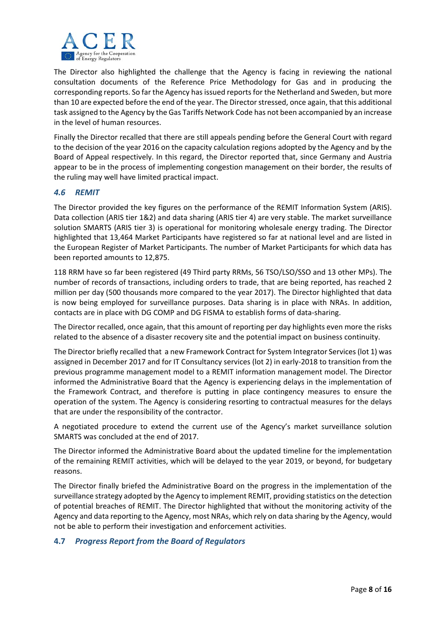

The Director also highlighted the challenge that the Agency is facing in reviewing the national consultation documents of the Reference Price Methodology for Gas and in producing the corresponding reports. So far the Agency has issued reports for the Netherland and Sweden, but more than 10 are expected before the end of the year. The Directorstressed, once again, that this additional task assigned to the Agency by the Gas Tariffs Network Code has not been accompanied by an increase in the level of human resources.

Finally the Director recalled that there are still appeals pending before the General Court with regard to the decision of the year 2016 on the capacity calculation regions adopted by the Agency and by the Board of Appeal respectively. In this regard, the Director reported that, since Germany and Austria appear to be in the process of implementing congestion management on their border, the results of the ruling may well have limited practical impact.

### *4.6 REMIT*

The Director provided the key figures on the performance of the REMIT Information System (ARIS). Data collection (ARIS tier 1&2) and data sharing (ARIS tier 4) are very stable. The market surveillance solution SMARTS (ARIS tier 3) is operational for monitoring wholesale energy trading. The Director highlighted that 13,464 Market Participants have registered so far at national level and are listed in the European Register of Market Participants. The number of Market Participants for which data has been reported amounts to 12,875.

118 RRM have so far been registered (49 Third party RRMs, 56 TSO/LSO/SSO and 13 other MPs). The number of records of transactions, including orders to trade, that are being reported, has reached 2 million per day (500 thousands more compared to the year 2017). The Director highlighted that data is now being employed for surveillance purposes. Data sharing is in place with NRAs. In addition, contacts are in place with DG COMP and DG FISMA to establish forms of data‐sharing.

The Director recalled, once again, that this amount of reporting per day highlights even more the risks related to the absence of a disaster recovery site and the potential impact on business continuity.

The Director briefly recalled that a new Framework Contract for System Integrator Services(lot 1) was assigned in December 2017 and for IT Consultancy services (lot 2) in early‐2018 to transition from the previous programme management model to a REMIT information management model. The Director informed the Administrative Board that the Agency is experiencing delays in the implementation of the Framework Contract, and therefore is putting in place contingency measures to ensure the operation of the system. The Agency is considering resorting to contractual measures for the delays that are under the responsibility of the contractor.

A negotiated procedure to extend the current use of the Agency's market surveillance solution SMARTS was concluded at the end of 2017.

The Director informed the Administrative Board about the updated timeline for the implementation of the remaining REMIT activities, which will be delayed to the year 2019, or beyond, for budgetary reasons.

The Director finally briefed the Administrative Board on the progress in the implementation of the surveillance strategy adopted by the Agency to implement REMIT, providing statistics on the detection of potential breaches of REMIT. The Director highlighted that without the monitoring activity of the Agency and data reporting to the Agency, most NRAs, which rely on data sharing by the Agency, would not be able to perform their investigation and enforcement activities.

## **4.7** *Progress Report from the Board of Regulators*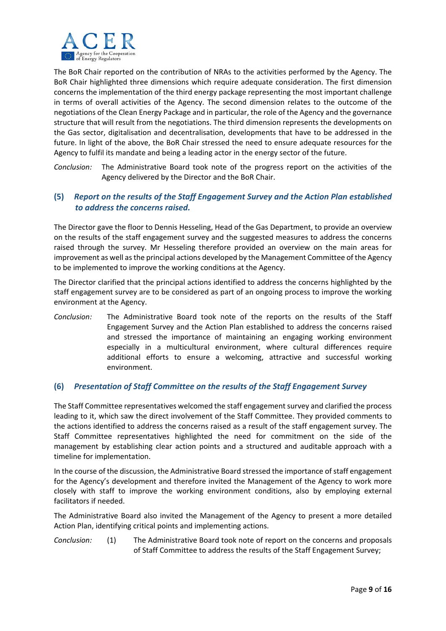

The BoR Chair reported on the contribution of NRAs to the activities performed by the Agency. The BoR Chair highlighted three dimensions which require adequate consideration. The first dimension concerns the implementation of the third energy package representing the most important challenge in terms of overall activities of the Agency. The second dimension relates to the outcome of the negotiations of the Clean Energy Package and in particular, the role of the Agency and the governance structure that will result from the negotiations. The third dimension represents the developments on the Gas sector, digitalisation and decentralisation, developments that have to be addressed in the future. In light of the above, the BoR Chair stressed the need to ensure adequate resources for the Agency to fulfil its mandate and being a leading actor in the energy sector of the future.

*Conclusion:* The Administrative Board took note of the progress report on the activities of the Agency delivered by the Director and the BoR Chair.

## **(5)** *Report on the results of the Staff Engagement Survey and the Action Plan established to address the concerns raised.*

The Director gave the floor to Dennis Hesseling, Head of the Gas Department, to provide an overview on the results of the staff engagement survey and the suggested measures to address the concerns raised through the survey. Mr Hesseling therefore provided an overview on the main areas for improvement as well as the principal actions developed by the Management Committee of the Agency to be implemented to improve the working conditions at the Agency.

The Director clarified that the principal actions identified to address the concerns highlighted by the staff engagement survey are to be considered as part of an ongoing process to improve the working environment at the Agency.

*Conclusion:* The Administrative Board took note of the reports on the results of the Staff Engagement Survey and the Action Plan established to address the concerns raised and stressed the importance of maintaining an engaging working environment especially in a multicultural environment, where cultural differences require additional efforts to ensure a welcoming, attractive and successful working environment.

## **(6)** *Presentation of Staff Committee on the results of the Staff Engagement Survey*

The Staff Committee representatives welcomed the staff engagement survey and clarified the process leading to it, which saw the direct involvement of the Staff Committee. They provided comments to the actions identified to address the concerns raised as a result of the staff engagement survey. The Staff Committee representatives highlighted the need for commitment on the side of the management by establishing clear action points and a structured and auditable approach with a timeline for implementation.

In the course of the discussion, the Administrative Board stressed the importance of staff engagement for the Agency's development and therefore invited the Management of the Agency to work more closely with staff to improve the working environment conditions, also by employing external facilitators if needed.

The Administrative Board also invited the Management of the Agency to present a more detailed Action Plan, identifying critical points and implementing actions.

*Conclusion:* (1) The Administrative Board took note of report on the concerns and proposals of Staff Committee to address the results of the Staff Engagement Survey;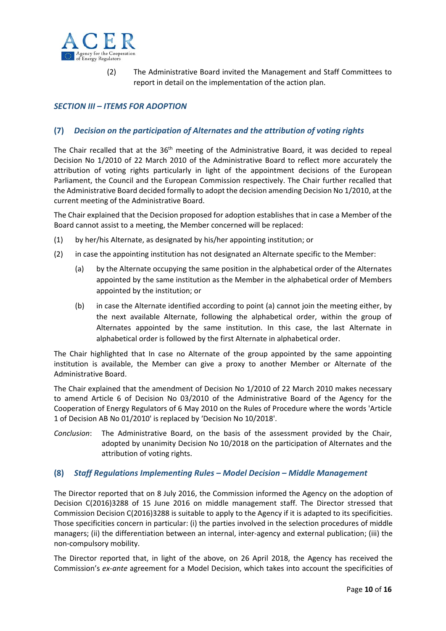

(2) The Administrative Board invited the Management and Staff Committees to report in detail on the implementation of the action plan.

## *SECTION III – ITEMS FOR ADOPTION*

#### **(7)** *Decision on the participation of Alternates and the attribution of voting rights*

The Chair recalled that at the 36<sup>th</sup> meeting of the Administrative Board, it was decided to repeal Decision No 1/2010 of 22 March 2010 of the Administrative Board to reflect more accurately the attribution of voting rights particularly in light of the appointment decisions of the European Parliament, the Council and the European Commission respectively. The Chair further recalled that the Administrative Board decided formally to adopt the decision amending Decision No 1/2010, at the current meeting of the Administrative Board.

The Chair explained that the Decision proposed for adoption establishes that in case a Member of the Board cannot assist to a meeting, the Member concerned will be replaced:

- (1) by her/his Alternate, as designated by his/her appointing institution; or
- (2) in case the appointing institution has not designated an Alternate specific to the Member:
	- (a) by the Alternate occupying the same position in the alphabetical order of the Alternates appointed by the same institution as the Member in the alphabetical order of Members appointed by the institution; or
	- (b) in case the Alternate identified according to point (a) cannot join the meeting either, by the next available Alternate, following the alphabetical order, within the group of Alternates appointed by the same institution. In this case, the last Alternate in alphabetical order is followed by the first Alternate in alphabetical order.

The Chair highlighted that In case no Alternate of the group appointed by the same appointing institution is available, the Member can give a proxy to another Member or Alternate of the Administrative Board.

The Chair explained that the amendment of Decision No 1/2010 of 22 March 2010 makes necessary to amend Article 6 of Decision No 03/2010 of the Administrative Board of the Agency for the Cooperation of Energy Regulators of 6 May 2010 on the Rules of Procedure where the words 'Article 1 of Decision AB No 01/2010' is replaced by 'Decision No 10/2018'.

*Conclusion*: The Administrative Board, on the basis of the assessment provided by the Chair, adopted by unanimity Decision No 10/2018 on the participation of Alternates and the attribution of voting rights.

#### **(8)** *Staff Regulations Implementing Rules – Model Decision – Middle Management*

The Director reported that on 8 July 2016, the Commission informed the Agency on the adoption of Decision C(2016)3288 of 15 June 2016 on middle management staff. The Director stressed that Commission Decision C(2016)3288 is suitable to apply to the Agency if it is adapted to its specificities. Those specificities concern in particular: (i) the parties involved in the selection procedures of middle managers; (ii) the differentiation between an internal, inter-agency and external publication; (iii) the non‐compulsory mobility.

The Director reported that, in light of the above, on 26 April 2018, the Agency has received the Commission's *ex‐ante* agreement for a Model Decision, which takes into account the specificities of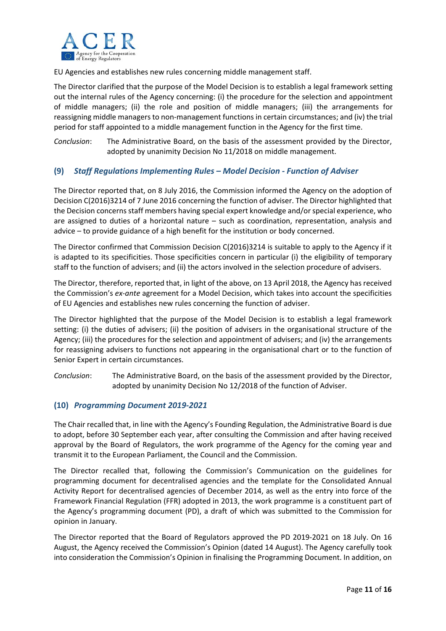

EU Agencies and establishes new rules concerning middle management staff.

The Director clarified that the purpose of the Model Decision is to establish a legal framework setting out the internal rules of the Agency concerning: (i) the procedure for the selection and appointment of middle managers; (ii) the role and position of middle managers; (iii) the arrangements for reassigning middle managers to non‐management functions in certain circumstances; and (iv) the trial period for staff appointed to a middle management function in the Agency for the first time.

*Conclusion*: The Administrative Board, on the basis of the assessment provided by the Director, adopted by unanimity Decision No 11/2018 on middle management.

### **(9)** *Staff Regulations Implementing Rules – Model Decision ‐ Function of Adviser*

The Director reported that, on 8 July 2016, the Commission informed the Agency on the adoption of Decision C(2016)3214 of 7 June 2016 concerning the function of adviser. The Director highlighted that the Decision concerns staff members having special expert knowledge and/or special experience, who are assigned to duties of a horizontal nature – such as coordination, representation, analysis and advice – to provide guidance of a high benefit for the institution or body concerned.

The Director confirmed that Commission Decision C(2016)3214 is suitable to apply to the Agency if it is adapted to its specificities. Those specificities concern in particular (i) the eligibility of temporary staff to the function of advisers; and (ii) the actors involved in the selection procedure of advisers.

The Director, therefore, reported that, in light of the above, on 13 April 2018, the Agency has received the Commission's *ex‐ante* agreement for a Model Decision, which takes into account the specificities of EU Agencies and establishes new rules concerning the function of adviser.

The Director highlighted that the purpose of the Model Decision is to establish a legal framework setting: (i) the duties of advisers; (ii) the position of advisers in the organisational structure of the Agency; (iii) the procedures for the selection and appointment of advisers; and (iv) the arrangements for reassigning advisers to functions not appearing in the organisational chart or to the function of Senior Expert in certain circumstances.

*Conclusion*: The Administrative Board, on the basis of the assessment provided by the Director, adopted by unanimity Decision No 12/2018 of the function of Adviser.

#### **(10)** *Programming Document 2019‐2021*

The Chair recalled that, in line with the Agency's Founding Regulation, the Administrative Board is due to adopt, before 30 September each year, after consulting the Commission and after having received approval by the Board of Regulators, the work programme of the Agency for the coming year and transmit it to the European Parliament, the Council and the Commission.

The Director recalled that, following the Commission's Communication on the guidelines for programming document for decentralised agencies and the template for the Consolidated Annual Activity Report for decentralised agencies of December 2014, as well as the entry into force of the Framework Financial Regulation (FFR) adopted in 2013, the work programme is a constituent part of the Agency's programming document (PD), a draft of which was submitted to the Commission for opinion in January.

The Director reported that the Board of Regulators approved the PD 2019-2021 on 18 July. On 16 August, the Agency received the Commission's Opinion (dated 14 August). The Agency carefully took into consideration the Commission's Opinion in finalising the Programming Document. In addition, on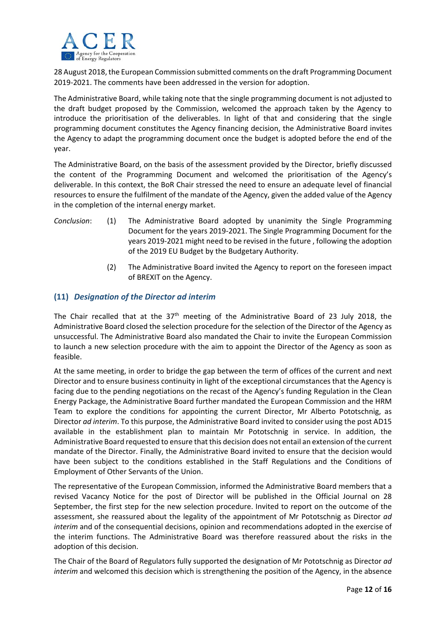

28 August 2018, the European Commission submitted comments on the draft Programming Document 2019‐2021. The comments have been addressed in the version for adoption.

The Administrative Board, while taking note that the single programming document is not adjusted to the draft budget proposed by the Commission, welcomed the approach taken by the Agency to introduce the prioritisation of the deliverables. In light of that and considering that the single programming document constitutes the Agency financing decision, the Administrative Board invites the Agency to adapt the programming document once the budget is adopted before the end of the year.

The Administrative Board, on the basis of the assessment provided by the Director, briefly discussed the content of the Programming Document and welcomed the prioritisation of the Agency's deliverable. In this context, the BoR Chair stressed the need to ensure an adequate level of financial resources to ensure the fulfilment of the mandate of the Agency, given the added value of the Agency in the completion of the internal energy market.

- *Conclusion*: (1) The Administrative Board adopted by unanimity the Single Programming Document for the years 2019‐2021. The Single Programming Document for the years 2019‐2021 might need to be revised in the future , following the adoption of the 2019 EU Budget by the Budgetary Authority.
	- (2) The Administrative Board invited the Agency to report on the foreseen impact of BREXIT on the Agency.

## **(11)** *Designation of the Director ad interim*

The Chair recalled that at the  $37<sup>th</sup>$  meeting of the Administrative Board of 23 July 2018, the Administrative Board closed the selection procedure for the selection of the Director of the Agency as unsuccessful. The Administrative Board also mandated the Chair to invite the European Commission to launch a new selection procedure with the aim to appoint the Director of the Agency as soon as feasible.

At the same meeting, in order to bridge the gap between the term of offices of the current and next Director and to ensure business continuity in light of the exceptional circumstances that the Agency is facing due to the pending negotiations on the recast of the Agency's funding Regulation in the Clean Energy Package, the Administrative Board further mandated the European Commission and the HRM Team to explore the conditions for appointing the current Director, Mr Alberto Pototschnig, as Director *ad interim*. To this purpose, the Administrative Board invited to consider using the post AD15 available in the establishment plan to maintain Mr Pototschnig in service. In addition, the Administrative Board requested to ensure that this decision does not entail an extension of the current mandate of the Director. Finally, the Administrative Board invited to ensure that the decision would have been subject to the conditions established in the Staff Regulations and the Conditions of Employment of Other Servants of the Union.

The representative of the European Commission, informed the Administrative Board members that a revised Vacancy Notice for the post of Director will be published in the Official Journal on 28 September, the first step for the new selection procedure. Invited to report on the outcome of the assessment, she reassured about the legality of the appointment of Mr Pototschnig as Director *ad interim* and of the consequential decisions, opinion and recommendations adopted in the exercise of the interim functions. The Administrative Board was therefore reassured about the risks in the adoption of this decision.

The Chair of the Board of Regulators fully supported the designation of Mr Pototschnig as Director *ad interim* and welcomed this decision which is strengthening the position of the Agency, in the absence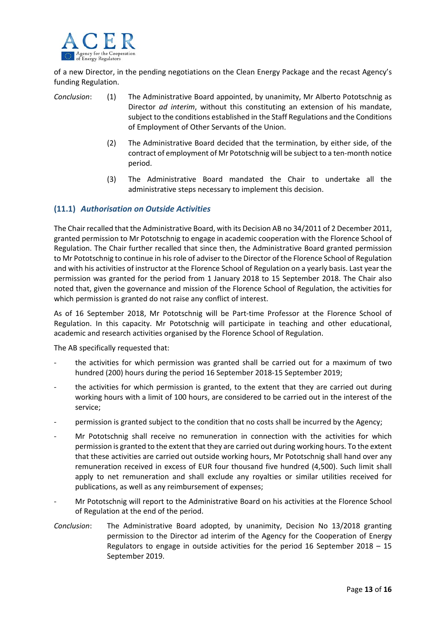

of a new Director, in the pending negotiations on the Clean Energy Package and the recast Agency's funding Regulation.

- *Conclusion*: (1) The Administrative Board appointed, by unanimity, Mr Alberto Pototschnig as Director *ad interim*, without this constituting an extension of his mandate, subject to the conditions established in the Staff Regulations and the Conditions of Employment of Other Servants of the Union.
	- (2) The Administrative Board decided that the termination, by either side, of the contract of employment of Mr Pototschnig will be subject to a ten‐month notice period.
	- (3) The Administrative Board mandated the Chair to undertake all the administrative steps necessary to implement this decision.

### **(11.1)** *Authorisation on Outside Activities*

The Chair recalled that the Administrative Board, with its Decision AB no 34/2011 of 2 December 2011, granted permission to Mr Pototschnig to engage in academic cooperation with the Florence School of Regulation. The Chair further recalled that since then, the Administrative Board granted permission to Mr Pototschnig to continue in hisrole of adviser to the Director of the Florence School of Regulation and with his activities of instructor at the Florence School of Regulation on a yearly basis. Last year the permission was granted for the period from 1 January 2018 to 15 September 2018. The Chair also noted that, given the governance and mission of the Florence School of Regulation, the activities for which permission is granted do not raise any conflict of interest.

As of 16 September 2018, Mr Pototschnig will be Part-time Professor at the Florence School of Regulation. In this capacity. Mr Pototschnig will participate in teaching and other educational, academic and research activities organised by the Florence School of Regulation.

The AB specifically requested that:

- the activities for which permission was granted shall be carried out for a maximum of two hundred (200) hours during the period 16 September 2018‐15 September 2019;
- the activities for which permission is granted, to the extent that they are carried out during working hours with a limit of 100 hours, are considered to be carried out in the interest of the service;
- permission is granted subject to the condition that no costs shall be incurred by the Agency;
- ‐ Mr Pototschnig shall receive no remuneration in connection with the activities for which permission is granted to the extent that they are carried out during working hours. To the extent that these activities are carried out outside working hours, Mr Pototschnig shall hand over any remuneration received in excess of EUR four thousand five hundred (4,500). Such limit shall apply to net remuneration and shall exclude any royalties or similar utilities received for publications, as well as any reimbursement of expenses;
- ‐ Mr Pototschnig will report to the Administrative Board on his activities at the Florence School of Regulation at the end of the period.
- *Conclusion*: The Administrative Board adopted, by unanimity, Decision No 13/2018 granting permission to the Director ad interim of the Agency for the Cooperation of Energy Regulators to engage in outside activities for the period 16 September 2018 – 15 September 2019.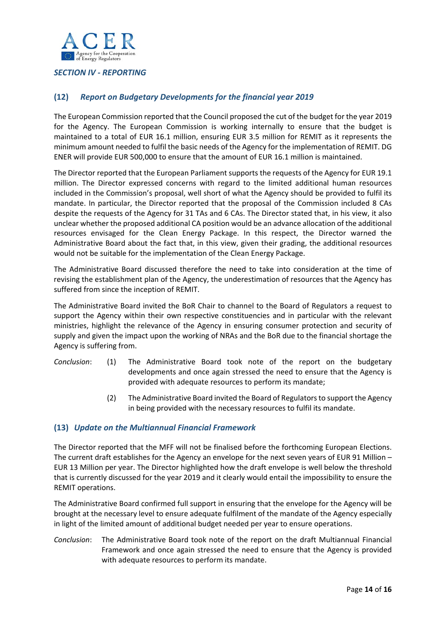

## *SECTION IV ‐ REPORTING*

## **(12)** *Report on Budgetary Developments for the financial year 2019*

The European Commission reported that the Council proposed the cut of the budget for the year 2019 for the Agency. The European Commission is working internally to ensure that the budget is maintained to a total of EUR 16.1 million, ensuring EUR 3.5 million for REMIT as it represents the minimum amount needed to fulfil the basic needs of the Agency for the implementation of REMIT. DG ENER will provide EUR 500,000 to ensure that the amount of EUR 16.1 million is maintained.

The Director reported that the European Parliament supports the requests of the Agency for EUR 19.1 million. The Director expressed concerns with regard to the limited additional human resources included in the Commission's proposal, well short of what the Agency should be provided to fulfil its mandate. In particular, the Director reported that the proposal of the Commission included 8 CAs despite the requests of the Agency for 31 TAs and 6 CAs. The Director stated that, in his view, it also unclear whether the proposed additional CA position would be an advance allocation of the additional resources envisaged for the Clean Energy Package. In this respect, the Director warned the Administrative Board about the fact that, in this view, given their grading, the additional resources would not be suitable for the implementation of the Clean Energy Package.

The Administrative Board discussed therefore the need to take into consideration at the time of revising the establishment plan of the Agency, the underestimation of resources that the Agency has suffered from since the inception of REMIT.

The Administrative Board invited the BoR Chair to channel to the Board of Regulators a request to support the Agency within their own respective constituencies and in particular with the relevant ministries, highlight the relevance of the Agency in ensuring consumer protection and security of supply and given the impact upon the working of NRAs and the BoR due to the financial shortage the Agency is suffering from.

- *Conclusion*: (1) The Administrative Board took note of the report on the budgetary developments and once again stressed the need to ensure that the Agency is provided with adequate resources to perform its mandate;
	- (2) The Administrative Board invited the Board of Regulators to support the Agency in being provided with the necessary resources to fulfil its mandate.

#### **(13)** *Update on the Multiannual Financial Framework*

The Director reported that the MFF will not be finalised before the forthcoming European Elections. The current draft establishes for the Agency an envelope for the next seven years of EUR 91 Million – EUR 13 Million per year. The Director highlighted how the draft envelope is well below the threshold that is currently discussed for the year 2019 and it clearly would entail the impossibility to ensure the REMIT operations.

The Administrative Board confirmed full support in ensuring that the envelope for the Agency will be brought at the necessary level to ensure adequate fulfilment of the mandate of the Agency especially in light of the limited amount of additional budget needed per year to ensure operations.

*Conclusion*: The Administrative Board took note of the report on the draft Multiannual Financial Framework and once again stressed the need to ensure that the Agency is provided with adequate resources to perform its mandate.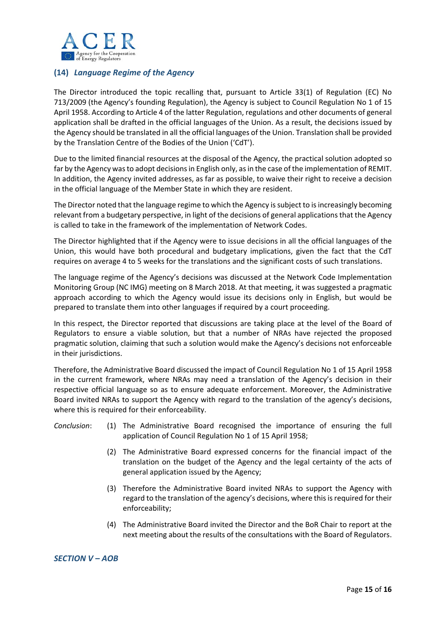

## **(14)** *Language Regime of the Agency*

The Director introduced the topic recalling that, pursuant to Article 33(1) of Regulation (EC) No 713/2009 (the Agency's founding Regulation), the Agency is subject to Council Regulation No 1 of 15 April 1958. According to Article 4 of the latter Regulation, regulations and other documents of general application shall be drafted in the official languages of the Union. As a result, the decisions issued by the Agency should be translated in all the official languages of the Union. Translation shall be provided by the Translation Centre of the Bodies of the Union ('CdT').

Due to the limited financial resources at the disposal of the Agency, the practical solution adopted so far by the Agency was to adopt decisions in English only, as in the case of the implementation of REMIT. In addition, the Agency invited addresses, as far as possible, to waive their right to receive a decision in the official language of the Member State in which they are resident.

The Director noted that the language regime to which the Agency is subject to is increasingly becoming relevant from a budgetary perspective, in light of the decisions of general applicationsthat the Agency is called to take in the framework of the implementation of Network Codes.

The Director highlighted that if the Agency were to issue decisions in all the official languages of the Union, this would have both procedural and budgetary implications, given the fact that the CdT requires on average 4 to 5 weeks for the translations and the significant costs of such translations.

The language regime of the Agency's decisions was discussed at the Network Code Implementation Monitoring Group (NC IMG) meeting on 8 March 2018. At that meeting, it was suggested a pragmatic approach according to which the Agency would issue its decisions only in English, but would be prepared to translate them into other languages if required by a court proceeding.

In this respect, the Director reported that discussions are taking place at the level of the Board of Regulators to ensure a viable solution, but that a number of NRAs have rejected the proposed pragmatic solution, claiming that such a solution would make the Agency's decisions not enforceable in their jurisdictions.

Therefore, the Administrative Board discussed the impact of Council Regulation No 1 of 15 April 1958 in the current framework, where NRAs may need a translation of the Agency's decision in their respective official language so as to ensure adequate enforcement. Moreover, the Administrative Board invited NRAs to support the Agency with regard to the translation of the agency's decisions, where this is required for their enforceability.

### *Conclusion*: (1) The Administrative Board recognised the importance of ensuring the full application of Council Regulation No 1 of 15 April 1958;

- (2) The Administrative Board expressed concerns for the financial impact of the translation on the budget of the Agency and the legal certainty of the acts of general application issued by the Agency;
- (3) Therefore the Administrative Board invited NRAs to support the Agency with regard to the translation of the agency's decisions, where this is required for their enforceability;
- (4) The Administrative Board invited the Director and the BoR Chair to report at the next meeting about the results of the consultations with the Board of Regulators.

*SECTION V – AOB*